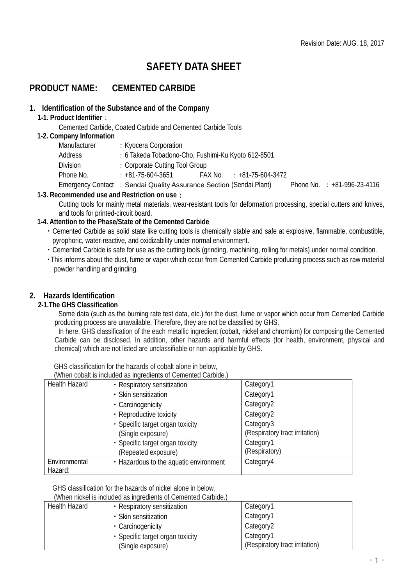# **SAFETY DATA SHEET**

## **PRODUCT NAME: CEMENTED CARBIDE**

### **1. Identification of the Substance and of the Company**

#### **1-1. Product Identifier**:

Cemented Carbide, Coated Carbide and Cemented Carbide Tools

#### **1-2. Company Information**

| Manufacturer | : Kyocera Corporation                                               |                             |                                  |
|--------------|---------------------------------------------------------------------|-----------------------------|----------------------------------|
| Address      | : 6 Takeda Tobadono-Cho, Fushimi-Ku Kyoto 612-8501                  |                             |                                  |
| Division     | : Corporate Cutting Tool Group                                      |                             |                                  |
| Phone No.    | $: +81 - 75 - 604 - 3651$                                           | $FAX No. : +81-75-604-3472$ |                                  |
|              | Emergency Contact : Sendai Quality Assurance Section (Sendai Plant) |                             | Phone No. $\div$ +81-996-23-4116 |

## **1-3. Recommended use and Restriction on use**:

Cutting tools for mainly metal materials, wear-resistant tools for deformation processing, special cutters and knives, and tools for printed-circuit board.

## **1-4. Attention to the Phase/State of the Cemented Carbide**

- ・Cemented Carbide as solid state like cutting tools is chemically stable and safe at explosive, flammable, combustible, pyrophoric, water-reactive, and oxidizability under normal environment.
- ・Cemented Carbide is safe for use as the cutting tools (grinding, machining, rolling for metals) under normal condition.
- ・This informs about the dust, fume or vapor which occur from Cemented Carbide producing process such as raw material powder handling and grinding.

## **2. Hazards Identification**

#### **2-1.The GHS Classification**

Some data (such as the burning rate test data, etc.) for the dust, fume or vapor which occur from Cemented Carbide producing process are unavailable. Therefore, they are not be classified by GHS.

In here, GHS classification of the each metallic ingredient (cobalt, nickel and chromium) for composing the Cemented Carbide can be disclosed. In addition, other hazards and harmful effects (for health, environment, physical and chemical) which are not listed are unclassifiable or non-applicable by GHS.

GHS classification for the hazards of cobalt alone in below,

| (When cobalt is included as ingredients of Cemented Carbide.) |  |
|---------------------------------------------------------------|--|
|---------------------------------------------------------------|--|

|               | <u>VINGH</u> CODAIL IS INGIGAÇÃ AS INGLUADORES OF OCHIGHICA GAIDIAG. J |                                |
|---------------|------------------------------------------------------------------------|--------------------------------|
| Health Hazard | • Respiratory sensitization                                            | Category1                      |
|               | • Skin sensitization                                                   | Category1                      |
|               | • Carcinogenicity                                                      | Category <sub>2</sub>          |
|               | • Reproductive toxicity                                                | Category2                      |
|               | • Specific target organ toxicity                                       | Category3                      |
|               | (Single exposure)                                                      | (Respiratory tract irritation) |
|               | • Specific target organ toxicity                                       | Category1                      |
|               | (Repeated exposure)                                                    | (Respiratory)                  |
| Environmental | • Hazardous to the aquatic environment                                 | Category4                      |
| Hazard:       |                                                                        |                                |

GHS classification for the hazards of nickel alone in below,

(When nickel is included as ingredients of Cemented Carbide.)

| <b>Health Hazard</b> | • Respiratory sensitization      | Category1                      |
|----------------------|----------------------------------|--------------------------------|
|                      | • Skin sensitization             | Category1                      |
|                      | • Carcinogenicity                | Category2                      |
|                      | • Specific target organ toxicity | Category1                      |
|                      | (Single exposure)                | (Respiratory tract irritation) |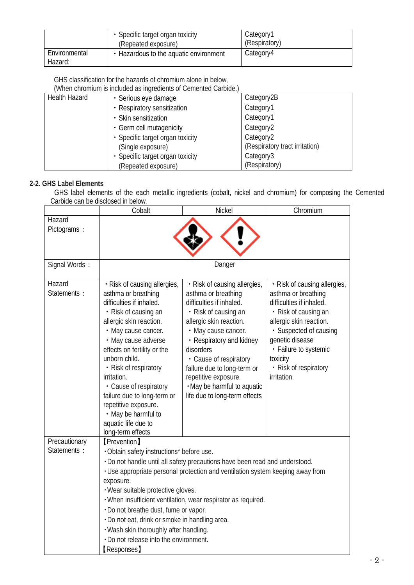|                          | • Specific target organ toxicity<br>(Repeated exposure) | Category1<br>(Respiratory) |
|--------------------------|---------------------------------------------------------|----------------------------|
| Environmental<br>Hazard: | • Hazardous to the aquatic environment                  | Category4                  |

GHS classification for the hazards of chromium alone in below,

(When chromium is included as ingredients of Cemented Carbide.)

| <b>Health Hazard</b> | · Serious eye damage             | Category2B                     |
|----------------------|----------------------------------|--------------------------------|
|                      | • Respiratory sensitization      | Category1                      |
|                      | • Skin sensitization             | Category1                      |
|                      | • Germ cell mutagenicity         | Category <sub>2</sub>          |
|                      | · Specific target organ toxicity | Category <sub>2</sub>          |
|                      | (Single exposure)                | (Respiratory tract irritation) |
|                      | · Specific target organ toxicity | Category3                      |
|                      | (Repeated exposure)              | (Respiratory)                  |

## **2-2. GHS Label Elements**

GHS label elements of the each metallic ingredients (cobalt, nickel and chromium) for composing the Cemented Carbide can be disclosed in below.

|                               | Cobalt                                                                                                                                                                                                                                                                                                                                                                                                                       | Nickel                                                                                                                                                                                                                                                                                                                                              | Chromium                                                                                                                                                                                                                                                     |
|-------------------------------|------------------------------------------------------------------------------------------------------------------------------------------------------------------------------------------------------------------------------------------------------------------------------------------------------------------------------------------------------------------------------------------------------------------------------|-----------------------------------------------------------------------------------------------------------------------------------------------------------------------------------------------------------------------------------------------------------------------------------------------------------------------------------------------------|--------------------------------------------------------------------------------------------------------------------------------------------------------------------------------------------------------------------------------------------------------------|
| Hazard<br>Pictograms:         |                                                                                                                                                                                                                                                                                                                                                                                                                              |                                                                                                                                                                                                                                                                                                                                                     |                                                                                                                                                                                                                                                              |
| Signal Words:                 |                                                                                                                                                                                                                                                                                                                                                                                                                              | Danger                                                                                                                                                                                                                                                                                                                                              |                                                                                                                                                                                                                                                              |
| Hazard<br>Statements :        | · Risk of causing allergies,<br>asthma or breathing<br>difficulties if inhaled.<br>• Risk of causing an<br>allergic skin reaction.<br>• May cause cancer.<br>• May cause adverse<br>effects on fertility or the<br>unborn child.<br>• Risk of respiratory<br>irritation.<br>• Cause of respiratory<br>failure due to long-term or<br>repetitive exposure.<br>• May be harmful to<br>aquatic life due to<br>long-term effects | • Risk of causing allergies,<br>asthma or breathing<br>difficulties if inhaled.<br>• Risk of causing an<br>allergic skin reaction.<br>• May cause cancer.<br>• Respiratory and kidney<br>disorders<br>• Cause of respiratory<br>failure due to long-term or<br>repetitive exposure.<br>. May be harmful to aquatic<br>life due to long-term effects | • Risk of causing allergies,<br>asthma or breathing<br>difficulties if inhaled.<br>• Risk of causing an<br>allergic skin reaction.<br>· Suspected of causing<br>genetic disease<br>· Failure to systemic<br>toxicity<br>• Risk of respiratory<br>irritation. |
| Precautionary<br>Statements : | <b>[Prevention]</b><br>· Obtain safety instructions* before use.<br>exposure.<br>· Wear suitable protective gloves.<br>. Do not breathe dust, fume or vapor.<br>· Do not eat, drink or smoke in handling area.<br>· Wash skin thoroughly after handling.<br>. Do not release into the environment.<br><b>[Responses]</b>                                                                                                     | · Do not handle until all safety precautions have been read and understood.<br>. Use appropriate personal protection and ventilation system keeping away from<br>. When insufficient ventilation, wear respirator as required.                                                                                                                      |                                                                                                                                                                                                                                                              |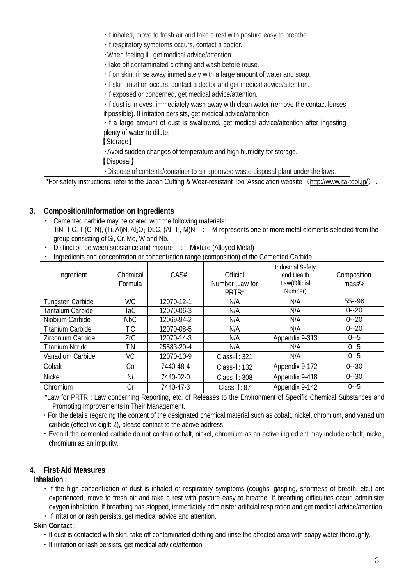| . If inhaled, move to fresh air and take a rest with posture easy to breathe.           |
|-----------------------------------------------------------------------------------------|
| · If respiratory symptoms occurs, contact a doctor.                                     |
| . When feeling ill, get medical advice/attention.                                       |
| · Take off contaminated clothing and wash before reuse.                                 |
| · If on skin, rinse away immediately with a large amount of water and soap.             |
| . If skin irritation occurs, contact a doctor and get medical advice/attention.         |
| · If exposed or concerned, get medical advice/attention.                                |
| . If dust is in eyes, immediately wash away with clean water (remove the contact lenses |
| if possible). If irritation persists, get medical advice/attention.                     |
| · If a large amount of dust is swallowed, get medical advice/attention after ingesting  |
| plenty of water to dilute.                                                              |
| [Storage]                                                                               |
| . Avoid sudden changes of temperature and high humidity for storage.                    |
| [Disposal]                                                                              |
| . Dispose of contents/container to an approved waste disposal plant under the laws.     |

\*For safety instructions, refer to the Japan Cutting & Wear-resistant Tool Association website (<http://www.jta-tool.jp/>).

## **3. Composition/Information on Ingredients**

- ・ Cemented carbide may be coated with the following materials: TiN, TiC, Ti(C, N), (Ti, Al)N, Al<sub>2</sub>O<sub>3</sub>, DLC, (Al, Ti, M)N : M represents one or more metal elements selected from the group consisting of Si, Cr, Mo, W and Nb.
- Distinction between substance and mixture : Mixture (Alloyed Metal)
- ・ Ingredients and concentration or concentration range (composition) of the Cemented Carbide

| Ingredient              | Chemical<br>Formula | CAS#       | Official<br>Number, Law for<br>PRTR* | <b>Industrial Safety</b><br>and Health<br>Law(Official<br>Number) | Composition<br>mass% |
|-------------------------|---------------------|------------|--------------------------------------|-------------------------------------------------------------------|----------------------|
| Tungsten Carbide        | <b>WC</b>           | 12070-12-1 | N/A                                  | N/A                                                               | $55 - 96$            |
| Tantalum Carbide        | TaC                 | 12070-06-3 | N/A                                  | N/A                                                               | $0 - 20$             |
| Niobium Carbide         | <b>NbC</b>          | 12069-94-2 | N/A                                  | N/A                                                               | $0 - 20$             |
| <b>Titanium Carbide</b> | TiC                 | 12070-08-5 | N/A                                  | N/A                                                               | $0 - 20$             |
| Zirconium Carbide       | ZrC                 | 12070-14-3 | N/A                                  | Appendix 9-313                                                    | $0 - 5$              |
| <b>Titanium Nitride</b> | TiN                 | 25583-20-4 | N/A                                  | N/A                                                               | $0 - 5$              |
| Vanadium Carbide        | VC                  | 12070-10-9 | Class- $I: 321$                      | N/A                                                               | $0 - 5$              |
| Cobalt                  | Co                  | 7440-48-4  | Class-I: 132                         | Appendix 9-172                                                    | $0 - 30$             |
| <b>Nickel</b>           | Ni                  | 7440-02-0  | Class- $I: 308$                      | Appendix 9-418                                                    | $0 - 30$             |
| Chromium                | Cr                  | 7440-47-3  | Class- $I: 87$                       | Appendix 9-142                                                    | $0 - 5$              |

\*Law for PRTR : Law concerning Reporting, etc. of Releases to the Environment of Specific Chemical Substances and Promoting Improvements in Their Management.

- ・For the details regarding the content of the designated chemical material such as cobalt, nickel, chromium, and vanadium carbide (effective digit: 2), please contact to the above address.
- ・Even if the cemented carbide do not contain cobalt, nickel, chromium as an active ingredient may include cobalt, nickel, chromium as an impurity.

## **4. First-Aid Measures**

#### **Inhalation :**

- ・If the high concentration of dust is inhaled or respiratory symptoms (coughs, gasping, shortness of breath, etc.) are experienced, move to fresh air and take a rest with posture easy to breathe. If breathing difficulties occur, administer oxygen inhalation. If breathing has stopped, immediately administer artificial respiration and get medical advice/attention.
- ・If irritation or rash persists, get medical advice and attention.

#### **Skin Contact :**

- ・If dust is contacted with skin, take off contaminated clothing and rinse the affected area with soapy water thoroughly.
- ・If irritation or rash persists, get medical advice/attention.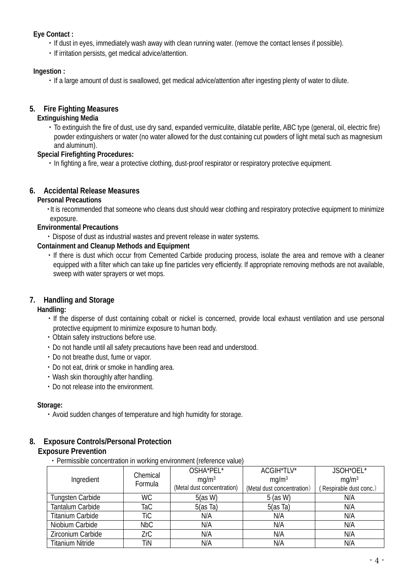### **Eye Contact :**

- ・If dust in eyes, immediately wash away with clean running water. (remove the contact lenses if possible).
- ・If irritation persists, get medical advice/attention.

#### **Ingestion :**

・If a large amount of dust is swallowed, get medical advice/attention after ingesting plenty of water to dilute.

### **5. Fire Fighting Measures**

#### **Extinguishing Media**

・To extinguish the fire of dust, use dry sand, expanded vermiculite, dilatable perlite, ABC type (general, oil, electric fire) powder extinguishers or water (no water allowed for the dust containing cut powders of light metal such as magnesium and aluminum).

#### **Special Firefighting Procedures:**

・In fighting a fire, wear a protective clothing, dust-proof respirator or respiratory protective equipment.

#### **6. Accidental Release Measures**

#### **Personal Precautions**

・It is recommended that someone who cleans dust should wear clothing and respiratory protective equipment to minimize exposure.

#### **Environmental Precautions**

・Dispose of dust as industrial wastes and prevent release in water systems.

#### **Containment and Cleanup Methods and Equipment**

・If there is dust which occur from Cemented Carbide producing process, isolate the area and remove with a cleaner equipped with a filter which can take up fine particles very efficiently. If appropriate removing methods are not available, sweep with water sprayers or wet mops.

## **7. Handling and Storage**

#### **Handling:**

- ・If the disperse of dust containing cobalt or nickel is concerned, provide local exhaust ventilation and use personal protective equipment to minimize exposure to human body.
- ・Obtain safety instructions before use.
- ・Do not handle until all safety precautions have been read and understood.
- ・Do not breathe dust, fume or vapor.
- ・Do not eat, drink or smoke in handling area.
- ・Wash skin thoroughly after handling.
- ・Do not release into the environment.

#### **Storage:**

・Avoid sudden changes of temperature and high humidity for storage.

#### **8. Exposure Controls/Personal Protection**

#### **Exposure Prevention**

・Permissible concentration in working environment (reference value)

|                         | Chemical  | OSHA*PEL*                  | ACGIH*TLV*                 | JSOH*OEL*              |
|-------------------------|-----------|----------------------------|----------------------------|------------------------|
| Ingredient              | Formula   | mq/m <sup>3</sup>          | mq/m <sup>3</sup>          | mq/m <sup>3</sup>      |
|                         |           | (Metal dust concentration) | (Metal dust concentration) | Respirable dust conc.) |
| Tungsten Carbide        | <b>WC</b> | 5(as W)                    | $5$ (as W)                 | N/A                    |
| Tantalum Carbide        | TaC       | 5(as Ta)                   | 5(as Ta)                   | N/A                    |
| <b>Titanium Carbide</b> | TiC       | N/A                        | N/A                        | N/A                    |
| Niobium Carbide         | NbC       | N/A                        | N/A                        | N/A                    |
| Zirconium Carbide       | ZrC       | N/A                        | N/A                        | N/A                    |
| <b>Titanium Nitride</b> | TiN       | N/A                        | N/A                        | N/A                    |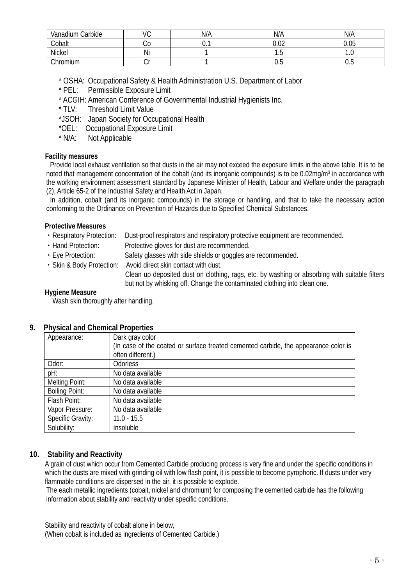| Carbide<br>Vanadium | $\sim$<br>◡ | N/A | N/A              | N/A  |
|---------------------|-------------|-----|------------------|------|
| Cobalt              | Uν          | v.  | $\Omega$<br>v.vz | 0.05 |
| Nickel              | Ni          |     | ن ا              | .    |
| Chromium            | ◡           |     | v.J              | v.J  |

\* OSHA: Occupational Safety & Health Administration U.S. Department of Labor

- \* PEL: Permissible Exposure Limit
- \* ACGIH: American Conference of Governmental Industrial Hygienists Inc.<br>\* TLV: Threshold Limit Value
- Threshold Limit Value
- \*JSOH: Japan Society for Occupational Health
- \*OEL: Occupational Exposure Limit<br>\* N/A: Not Applicable
- Not Applicable

#### **Facility measures**

Provide local exhaust ventilation so that dusts in the air may not exceed the exposure limits in the above table. It is to be noted that management concentration of the cobalt (and its inorganic compounds) is to be 0.02mg/m<sup>3</sup> in accordance with the working environment assessment standard by Japanese Minister of Health, Labour and Welfare under the paragraph (2), Article 65-2 of the Industrial Safety and Health Act in Japan.

In addition, cobalt (and its inorganic compounds) in the storage or handling, and that to take the necessary action conforming to the Ordinance on Prevention of Hazards due to Specified Chemical Substances.

#### **Protective Measures**

- ・Respiratory Protection: Dust-proof respirators and respiratory protective equipment are recommended.
- ・Hand Protection: Protective gloves for dust are recommended.
- ・Eye Protection: Safety glasses with side shields or goggles are recommended.
- ・Skin & Body Protection: Avoid direct skin contact with dust.

 Clean up deposited dust on clothing, rags, etc. by washing or absorbing with suitable filters but not by whisking off. Change the contaminated clothing into clean one.

#### **Hygiene Measure**

Wash skin thoroughly after handling.

#### **9. Physical and Chemical Properties**

| Appearance:           | Dark gray color                                                                     |
|-----------------------|-------------------------------------------------------------------------------------|
|                       | (In case of the coated or surface treated cemented carbide, the appearance color is |
|                       | often different.)                                                                   |
| Odor:                 | Odorless                                                                            |
| pH:                   | No data available                                                                   |
| Melting Point:        | No data available                                                                   |
| <b>Boiling Point:</b> | No data available                                                                   |
| Flash Point:          | No data available                                                                   |
| Vapor Pressure:       | No data available                                                                   |
| Specific Gravity:     | $11.0 - 15.5$                                                                       |
| Solubility:           | <b>Insoluble</b>                                                                    |

## **10. Stability and Reactivity**

 A grain of dust which occur from Cemented Carbide producing process is very fine and under the specific conditions in which the dusts are mixed with grinding oil with low flash point, it is possible to become pyrophoric. If dusts under very flammable conditions are dispersed in the air, it is possible to explode.

The each metallic ingredients (cobalt, nickel and chromium) for composing the cemented carbide has the following information about stability and reactivity under specific conditions.

Stability and reactivity of cobalt alone in below,

(When cobalt is included as ingredients of Cemented Carbide.)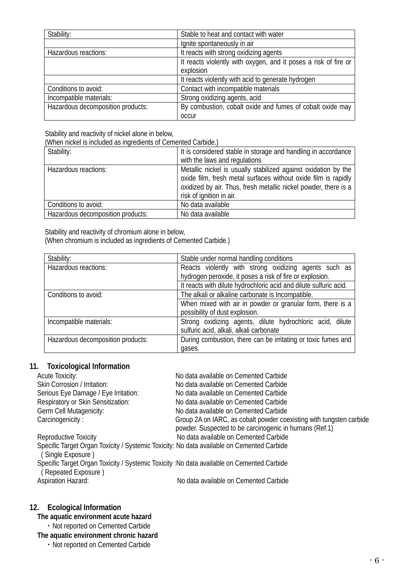| Stability:                        | Stable to heat and contact with water                           |  |
|-----------------------------------|-----------------------------------------------------------------|--|
|                                   | Ignite spontaneously in air                                     |  |
| Hazardous reactions:              | It reacts with strong oxidizing agents                          |  |
|                                   | It reacts violently with oxygen, and it poses a risk of fire or |  |
|                                   | explosion                                                       |  |
|                                   | It reacts violently with acid to generate hydrogen              |  |
| Conditions to avoid:              | Contact with incompatible materials                             |  |
| Incompatible materials:           | Strong oxidizing agents, acid                                   |  |
| Hazardous decomposition products: | By combustion, cobalt oxide and fumes of cobalt oxide may       |  |
|                                   | <b>OCCUL</b>                                                    |  |

Stability and reactivity of nickel alone in below,

(When nickel is included as ingredients of Cemented Carbide.)

| Stability:                        | It is considered stable in storage and handling in accordance<br>with the laws and regulations                                                                                                                                  |  |
|-----------------------------------|---------------------------------------------------------------------------------------------------------------------------------------------------------------------------------------------------------------------------------|--|
| Hazardous reactions:              | Metallic nickel is usually stabilized against oxidation by the<br>oxide film, fresh metal surfaces without oxide film is rapidly<br>oxidized by air. Thus, fresh metallic nickel powder, there is a<br>risk of ignition in air. |  |
| Conditions to avoid:              | No data available                                                                                                                                                                                                               |  |
| Hazardous decomposition products: | No data available                                                                                                                                                                                                               |  |

#### Stability and reactivity of chromium alone in below,

(When chromium is included as ingredients of Cemented Carbide.)

| Stability:                        | Stable under normal handling conditions                           |  |
|-----------------------------------|-------------------------------------------------------------------|--|
| Hazardous reactions:              | Reacts violently with strong oxidizing agents such as             |  |
|                                   | hydrogen peroxide, it poses a risk of fire or explosion.          |  |
|                                   | It reacts with dilute hydrochloric acid and dilute sulfuric acid. |  |
| Conditions to avoid:              | The alkali or alkaline carbonate is Incompatible.                 |  |
|                                   | When mixed with air in powder or granular form, there is a        |  |
|                                   | possibility of dust explosion.                                    |  |
| Incompatible materials:           | Strong oxidizing agents, dilute hydrochloric acid, dilute         |  |
|                                   | sulfuric acid, alkali, alkali carbonate                           |  |
| Hazardous decomposition products: | During combustion, there can be irritating or toxic fumes and     |  |
|                                   | gases.                                                            |  |

## **11. Toxicological Information**

| <b>Acute Toxicity:</b>                                                                     | No data available on Cemented Carbide                               |
|--------------------------------------------------------------------------------------------|---------------------------------------------------------------------|
| Skin Corrosion / Irritation:                                                               | No data available on Cemented Carbide                               |
| Serious Eye Damage / Eye Irritation:                                                       | No data available on Cemented Carbide                               |
| Respiratory or Skin Sensitization:                                                         | No data available on Cemented Carbide                               |
| Germ Cell Mutagenicity:                                                                    | No data available on Cemented Carbide                               |
| Carcinogenicity:                                                                           | Group 2A on IARC, as cobalt powder coexisting with tungsten carbide |
|                                                                                            | powder. Suspected to be carcinogenic in humans (Ref.1)              |
| Reproductive Toxicity                                                                      | No data available on Cemented Carbide                               |
| Specific Target Organ Toxicity / Systemic Toxicity: No data available on Cemented Carbide  |                                                                     |
| (Single Exposure)                                                                          |                                                                     |
| Specific Target Organ Toxicity / Systemic Toxicity : No data available on Cemented Carbide |                                                                     |
| (Repeated Exposure)                                                                        |                                                                     |
| <b>Aspiration Hazard:</b>                                                                  | No data available on Cemented Carbide                               |
|                                                                                            |                                                                     |

## **12. Ecological Information**

## **The aquatic environment acute hazard**

・Not reported on Cemented Carbide

## **The aquatic environment chronic hazard**

・Not reported on Cemented Carbide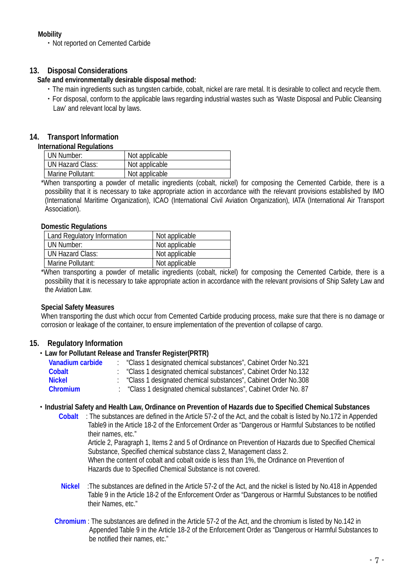## **Mobility**

・Not reported on Cemented Carbide

## **13. Disposal Considerations**

#### **Safe and environmentally desirable disposal method:**

- ・The main ingredients such as tungsten carbide, cobalt, nickel are rare metal. It is desirable to collect and recycle them.
- ・For disposal, conform to the applicable laws regarding industrial wastes such as 'Waste Disposal and Public Cleansing Law' and relevant local by laws.

## **14. Transport Information**

#### **International Regulations**

| UN Number:        | Not applicable |
|-------------------|----------------|
| UN Hazard Class:  | Not applicable |
| Marine Pollutant: | Not applicable |

 \*When transporting a powder of metallic ingredients (cobalt, nickel) for composing the Cemented Carbide, there is a possibility that it is necessary to take appropriate action in accordance with the relevant provisions established by IMO (International Maritime Organization), ICAO (International Civil Aviation Organization), IATA (International Air Transport Association).

#### **Domestic Regulations**

| Land Regulatory Information | Not applicable                                                                                                                                                                                                                  |
|-----------------------------|---------------------------------------------------------------------------------------------------------------------------------------------------------------------------------------------------------------------------------|
| UN Number:                  | Not applicable                                                                                                                                                                                                                  |
| UN Hazard Class:            | Not applicable                                                                                                                                                                                                                  |
| Marine Pollutant:           | Not applicable                                                                                                                                                                                                                  |
|                             | $\sim$ . The contract of the contract of the contract of the contract of the contract of the contract of the contract of the contract of the contract of the contract of the contract of the contract of the contract of the co |

 \*When transporting a powder of metallic ingredients (cobalt, nickel) for composing the Cemented Carbide, there is a possibility that it is necessary to take appropriate action in accordance with the relevant provisions of Ship Safety Law and the Aviation Law.

#### **Special Safety Measures**

 When transporting the dust which occur from Cemented Carbide producing process, make sure that there is no damage or corrosion or leakage of the container, to ensure implementation of the prevention of collapse of cargo.

## **15. Regulatory Information**

## ・**Law for Pollutant Release and Transfer Register(PRTR)**

| Vanadium carbide | "Class 1 designated chemical substances", Cabinet Order No.321 |
|------------------|----------------------------------------------------------------|
| Cobalt           | "Class 1 designated chemical substances", Cabinet Order No.132 |
| <b>Nickel</b>    | "Class 1 designated chemical substances", Cabinet Order No.308 |
| Chromium         | "Class 1 designated chemical substances", Cabinet Order No. 87 |

#### ・**Industrial Safety and Health Law, Ordinance on Prevention of Hazards due to Specified Chemical Substances**

**Cobalt** : The substances are defined in the Article 57-2 of the Act, and the cobalt is listed by No.172 in Appended Table9 in the Article 18-2 of the Enforcement Order as "Dangerous or Harmful Substances to be notified their names, etc."

Article 2, Paragraph 1, Items 2 and 5 of Ordinance on Prevention of Hazards due to Specified Chemical Substance, Specified chemical substance class 2, Management class 2.

When the content of cobalt and cobalt oxide is less than 1%, the Ordinance on Prevention of Hazards due to Specified Chemical Substance is not covered.

- **Nickel** :The substances are defined in [the Article 57-2 of the Act,](http://www.jniosh.go.jp/icpro/jicosh-old/japanese/country/japan/laws/01_occ/05b.html#lawA57b) and the nickel is listed by No.418 in Appended Table 9 in the Article 18-2 of the Enforcement Order as "Dangerous or Harmful Substances to be notified their Names, etc."
- **Chromium** : The substances are defined i[n the Article 57-2 of the Act,](http://www.jniosh.go.jp/icpro/jicosh-old/japanese/country/japan/laws/01_occ/05b.html#lawA57b) and the chromium is listed by No.142 in Appended Table 9 in the Article 18-2 of the Enforcement Order as "Dangerous or Harmful Substances to be notified their names, etc."